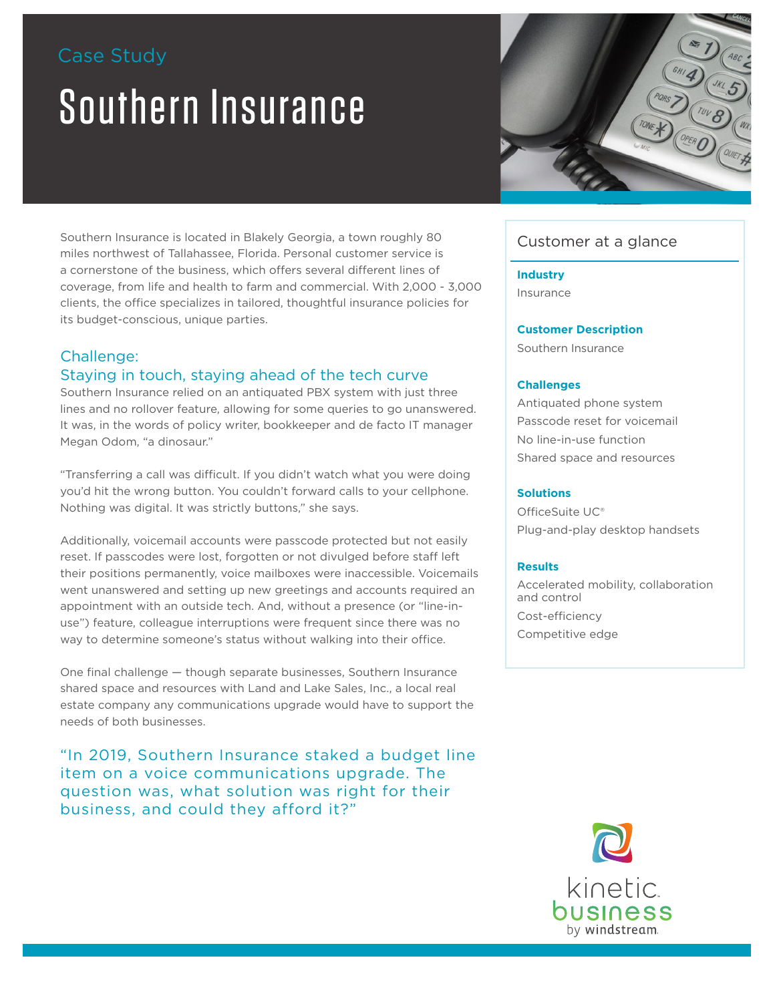# Case Study

# Southern Insurance



### Challenge:

#### Staying in touch, staying ahead of the tech curve

Southern Insurance relied on an antiquated PBX system with just three lines and no rollover feature, allowing for some queries to go unanswered. It was, in the words of policy writer, bookkeeper and de facto IT manager Megan Odom, "a dinosaur."

"Transferring a call was difficult. If you didn't watch what you were doing you'd hit the wrong button. You couldn't forward calls to your cellphone. Nothing was digital. It was strictly buttons," she says.

Additionally, voicemail accounts were passcode protected but not easily reset. If passcodes were lost, forgotten or not divulged before staff left their positions permanently, voice mailboxes were inaccessible. Voicemails went unanswered and setting up new greetings and accounts required an appointment with an outside tech. And, without a presence (or "line-inuse") feature, colleague interruptions were frequent since there was no way to determine someone's status without walking into their office.

One final challenge — though separate businesses, Southern Insurance shared space and resources with Land and Lake Sales, Inc., a local real estate company any communications upgrade would have to support the needs of both businesses.

"In 2019, Southern Insurance staked a budget line item on a voice communications upgrade. The question was, what solution was right for their business, and could they afford it?"



# Customer at a glance

**Industry** Insurance

**Customer Description**

Southern Insurance

#### **Challenges**

Antiquated phone system Passcode reset for voicemail No line-in-use function Shared space and resources

#### **Solutions**

OfficeSuite UC® Plug-and-play desktop handsets

#### **Results**

Accelerated mobility, collaboration and control Cost-efficiency Competitive edge